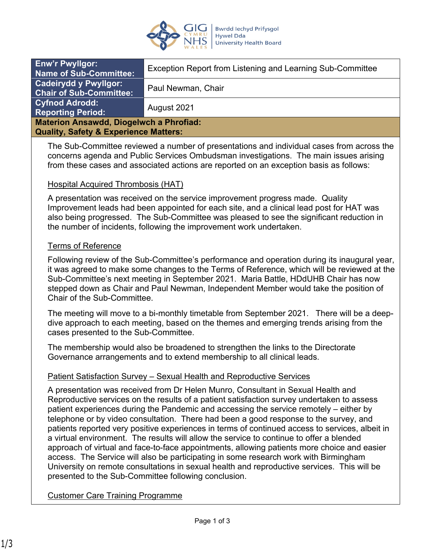

| <b>Enw'r Pwyllgor:</b><br><b>Name of Sub-Committee:</b>        | Exception Report from Listening and Learning Sub-Committee |
|----------------------------------------------------------------|------------------------------------------------------------|
| <b>Cadeirydd y Pwyllgor:</b><br><b>Chair of Sub-Committee:</b> | Paul Newman, Chair                                         |
| <b>Cyfnod Adrodd:</b><br>Reporting Period: <b>R</b>            | August 2021                                                |
| <b>Materion Ansawdd, Diogelwch a Phrofiad:</b>                 |                                                            |
| <b>Quality, Safety &amp; Experience Matters:</b>               |                                                            |

The Sub-Committee reviewed a number of presentations and individual cases from across the concerns agenda and Public Services Ombudsman investigations. The main issues arising from these cases and associated actions are reported on an exception basis as follows:

### Hospital Acquired Thrombosis (HAT)

A presentation was received on the service improvement progress made. Quality Improvement leads had been appointed for each site, and a clinical lead post for HAT was also being progressed. The Sub-Committee was pleased to see the significant reduction in the number of incidents, following the improvement work undertaken.

#### Terms of Reference

Following review of the Sub-Committee's performance and operation during its inaugural year, it was agreed to make some changes to the Terms of Reference, which will be reviewed at the Sub-Committee's next meeting in September 2021. Maria Battle, HDdUHB Chair has now stepped down as Chair and Paul Newman, Independent Member would take the position of Chair of the Sub-Committee.

The meeting will move to a bi-monthly timetable from September 2021. There will be a deepdive approach to each meeting, based on the themes and emerging trends arising from the cases presented to the Sub-Committee.

The membership would also be broadened to strengthen the links to the Directorate Governance arrangements and to extend membership to all clinical leads.

### Patient Satisfaction Survey – Sexual Health and Reproductive Services

A presentation was received from Dr Helen Munro, Consultant in Sexual Health and Reproductive services on the results of a patient satisfaction survey undertaken to assess patient experiences during the Pandemic and accessing the service remotely – either by telephone or by video consultation. There had been a good response to the survey, and patients reported very positive experiences in terms of continued access to services, albeit in a virtual environment. The results will allow the service to continue to offer a blended approach of virtual and face-to-face appointments, allowing patients more choice and easier access. The Service will also be participating in some research work with Birmingham University on remote consultations in sexual health and reproductive services. This will be presented to the Sub-Committee following conclusion.

### Customer Care Training Programme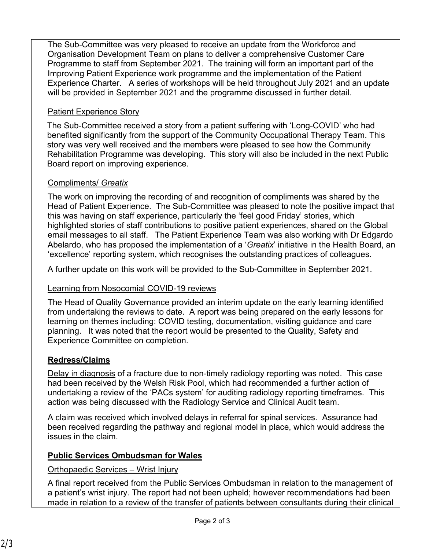The Sub-Committee was very pleased to receive an update from the Workforce and Organisation Development Team on plans to deliver a comprehensive Customer Care Programme to staff from September 2021. The training will form an important part of the Improving Patient Experience work programme and the implementation of the Patient Experience Charter. A series of workshops will be held throughout July 2021 and an update will be provided in September 2021 and the programme discussed in further detail.

# Patient Experience Story

The Sub-Committee received a story from a patient suffering with 'Long-COVID' who had benefited significantly from the support of the Community Occupational Therapy Team. This story was very well received and the members were pleased to see how the Community Rehabilitation Programme was developing. This story will also be included in the next Public Board report on improving experience.

# Compliments/ *Greatix*

The work on improving the recording of and recognition of compliments was shared by the Head of Patient Experience. The Sub-Committee was pleased to note the positive impact that this was having on staff experience, particularly the 'feel good Friday' stories, which highlighted stories of staff contributions to positive patient experiences, shared on the Global email messages to all staff. The Patient Experience Team was also working with Dr Edgardo Abelardo, who has proposed the implementation of a '*Greatix*' initiative in the Health Board, an 'excellence' reporting system, which recognises the outstanding practices of colleagues.

A further update on this work will be provided to the Sub-Committee in September 2021.

# Learning from Nosocomial COVID-19 reviews

The Head of Quality Governance provided an interim update on the early learning identified from undertaking the reviews to date. A report was being prepared on the early lessons for learning on themes including: COVID testing, documentation, visiting guidance and care planning. It was noted that the report would be presented to the Quality, Safety and Experience Committee on completion.

# **Redress/Claims**

Delay in diagnosis of a fracture due to non-timely radiology reporting was noted. This case had been received by the Welsh Risk Pool, which had recommended a further action of undertaking a review of the 'PACs system' for auditing radiology reporting timeframes. This action was being discussed with the Radiology Service and Clinical Audit team.

A claim was received which involved delays in referral for spinal services. Assurance had been received regarding the pathway and regional model in place, which would address the issues in the claim.

# **Public Services Ombudsman for Wales**

Orthopaedic Services – Wrist Injury

A final report received from the Public Services Ombudsman in relation to the management of a patient's wrist injury. The report had not been upheld; however recommendations had been made in relation to a review of the transfer of patients between consultants during their clinical